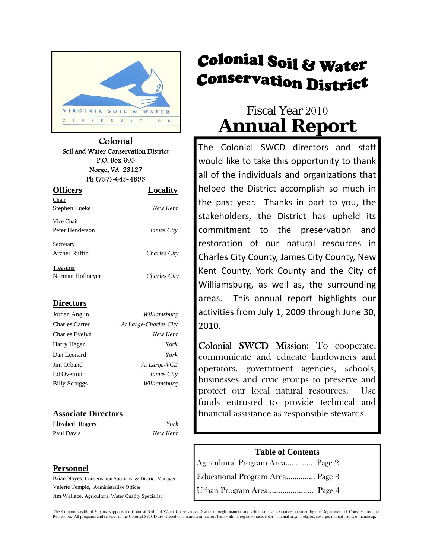

Colonial Soil and Water Conservation District P.O. Box 695 Norge, VA 23127 Ph (757)-645-4895

| <b>Officers</b> | Locality     |  |  |
|-----------------|--------------|--|--|
| Chair           |              |  |  |
| Stephen Lueke   | New Kent     |  |  |
| Vice Chair      |              |  |  |
| Peter Henderson | James City   |  |  |
| Secretary       |              |  |  |
| Archer Ruffin   | Charles City |  |  |
| Treasurer       |              |  |  |
| Norman Hofmeyer | Charles City |  |  |

#### **Directors**

| Jordan Anglin        | Williamsburg          |  |
|----------------------|-----------------------|--|
| Charles Carter       | At Large-Charles City |  |
| Charles Evelyn       | New Kent              |  |
| Harry Hager          | York                  |  |
| Dan Leonard          | York                  |  |
| Jim Orband           | At Large-VCE          |  |
| Ed Overton           | James City            |  |
| <b>Billy Scruggs</b> | Williamsburg          |  |

#### **Associate Directors**

Elizabeth Rogers *York*  Paul Davis *New Kent*

#### **Personnel**

Brian Noyes, Conservation Specialist & District Manager Valerie Temple, Administrative Officer Jim Wallace, Agricultural Water Quality Specialist

# **Colonial Soil & Water Conservation District**

# Fiscal Year 2010 **Annual Report**

The Colonial SWCD directors and staff would like to take this opportunity to thank all of the individuals and organizations that helped the District accomplish so much in the past year. Thanks in part to you, the stakeholders, the District has upheld its commitment to the preservation and restoration of our natural resources in Charles City County, James City County, New Kent County, York County and the City of Williamsburg, as well as, the surrounding areas. This annual report highlights our activities from July 1, 2009 through June 30, 2010.

Colonial SWCD Mission: To cooperate, communicate and educate landowners and operators, government agencies, schools, businesses and civic groups to preserve and protect our local natural resources. Use funds entrusted to provide technical and financial assistance as responsible stewards.

#### **Table of Contents**

Agricultural Program Area…………. Page 2 Educational Program Area………….. Page 3 Urban Program Area…………………. Page 4

 The Commonwealth of Virginia supports the Colonial Soil and Water Conservation District through financial and administrative assistance provided by the Department of Conservation and Recreation. All programs and services of the Colonial SWCD are offered on a nondiscriminatory basis without regard to race, color, national origin, religion, sex, age, marital status, or handicap.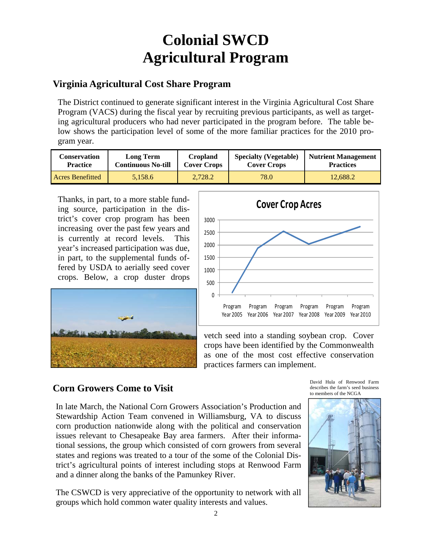# **Colonial SWCD Agricultural Program**

### **Virginia Agricultural Cost Share Program**

The District continued to generate significant interest in the Virginia Agricultural Cost Share Program (VACS) during the fiscal year by recruiting previous participants, as well as targeting agricultural producers who had never participated in the program before. The table below shows the participation level of some of the more familiar practices for the 2010 program year.

| Conservation            | <b>Long Term</b>          | <b>Cropland</b>    | <b>Specialty (Vegetable)</b> | <b>Nutrient Management</b> |
|-------------------------|---------------------------|--------------------|------------------------------|----------------------------|
| <b>Practice</b>         | <b>Continuous No-till</b> | <b>Cover Crops</b> | <b>Cover Crops</b>           | <b>Practices</b>           |
| <b>Acres Benefitted</b> | 5.158.6                   | 2.728.2            | 78.0                         | 12.688.2                   |

Thanks, in part, to a more stable funding source, participation in the district's cover crop program has been increasing over the past few years and is currently at record levels. This year's increased participation was due, in part, to the supplemental funds offered by USDA to aerially seed cover crops. Below, a crop duster drops





vetch seed into a standing soybean crop. Cover crops have been identified by the Commonwealth as one of the most cost effective conservation practices farmers can implement.

## **Corn Growers Come to Visit**

In late March, the National Corn Growers Association's Production and Stewardship Action Team convened in Williamsburg, VA to discuss corn production nationwide along with the political and conservation issues relevant to Chesapeake Bay area farmers. After their informational sessions, the group which consisted of corn growers from several states and regions was treated to a tour of the some of the Colonial District's agricultural points of interest including stops at Renwood Farm and a dinner along the banks of the Pamunkey River.

The CSWCD is very appreciative of the opportunity to network with all groups which hold common water quality interests and values.

David Hula of Renwood Farm describes the farm's seed business to members of the NCGA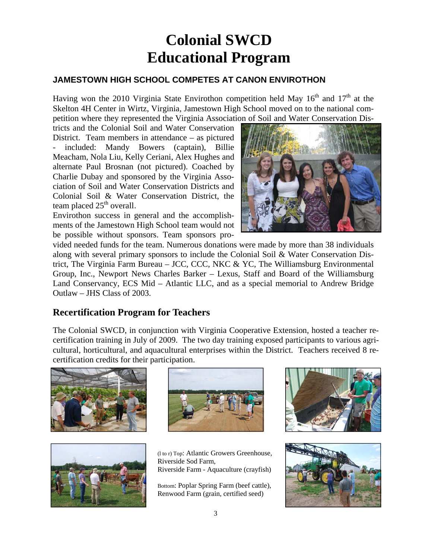# **Colonial SWCD Educational Program**

### **JAMESTOWN HIGH SCHOOL COMPETES AT CANON ENVIROTHON**

Having won the 2010 Virginia State Envirothon competition held May  $16<sup>th</sup>$  and  $17<sup>th</sup>$  at the Skelton 4H Center in Wirtz, Virginia, Jamestown High School moved on to the national competition where they represented the Virginia Association of Soil and Water Conservation Dis-

tricts and the Colonial Soil and Water Conservation District. Team members in attendance – as pictured included: Mandy Bowers (captain), Billie Meacham, Nola Liu, Kelly Ceriani, Alex Hughes and alternate Paul Brosnan (not pictured). Coached by Charlie Dubay and sponsored by the Virginia Association of Soil and Water Conservation Districts and Colonial Soil & Water Conservation District, the team placed  $25<sup>th</sup>$  overall.

Envirothon success in general and the accomplishments of the Jamestown High School team would not be possible without sponsors. Team sponsors pro-



vided needed funds for the team. Numerous donations were made by more than 38 individuals along with several primary sponsors to include the Colonial Soil & Water Conservation District, The Virginia Farm Bureau – JCC, CCC, NKC & YC, The Williamsburg Environmental Group, Inc., Newport News Charles Barker – Lexus, Staff and Board of the Williamsburg Land Conservancy, ECS Mid – Atlantic LLC, and as a special memorial to Andrew Bridge Outlaw – JHS Class of 2003.

### **Recertification Program for Teachers**

The Colonial SWCD, in conjunction with Virginia Cooperative Extension, hosted a teacher recertification training in July of 2009. The two day training exposed participants to various agricultural, horticultural, and aquacultural enterprises within the District. Teachers received 8 recertification credits for their participation.







(l to r) Top: Atlantic Growers Greenhouse, Riverside Sod Farm, Riverside Farm - Aquaculture (crayfish)

Bottom: Poplar Spring Farm (beef cattle), Renwood Farm (grain, certified seed)